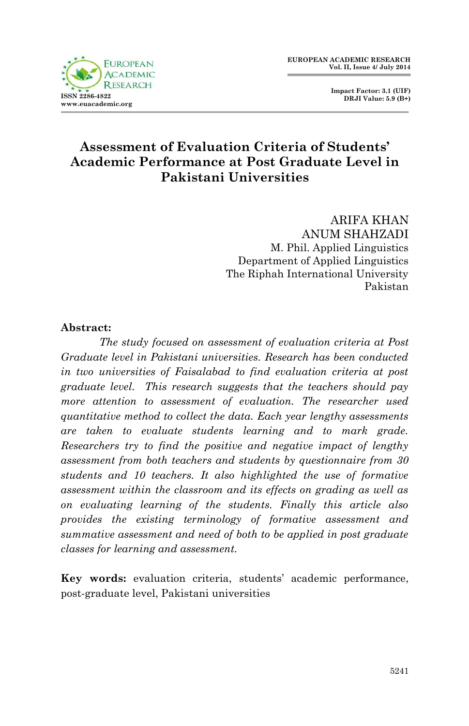

 **Impact Factor: 3.1 (UIF) DRJI Value: 5.9 (B+)**

# **Assessment of Evaluation Criteria of Students' Academic Performance at Post Graduate Level in Pakistani Universities**

ARIFA KHAN ANUM SHAHZADI M. Phil. Applied Linguistics Department of Applied Linguistics The Riphah International University Pakistan

#### **Abstract:**

*The study focused on assessment of evaluation criteria at Post Graduate level in Pakistani universities. Research has been conducted in two universities of Faisalabad to find evaluation criteria at post graduate level. This research suggests that the teachers should pay more attention to assessment of evaluation. The researcher used quantitative method to collect the data. Each year lengthy assessments are taken to evaluate students learning and to mark grade. Researchers try to find the positive and negative impact of lengthy assessment from both teachers and students by questionnaire from 30 students and 10 teachers. It also highlighted the use of formative assessment within the classroom and its effects on grading as well as on evaluating learning of the students. Finally this article also provides the existing terminology of formative assessment and summative assessment and need of both to be applied in post graduate classes for learning and assessment.*

**Key words:** evaluation criteria, students' academic performance, post-graduate level, Pakistani universities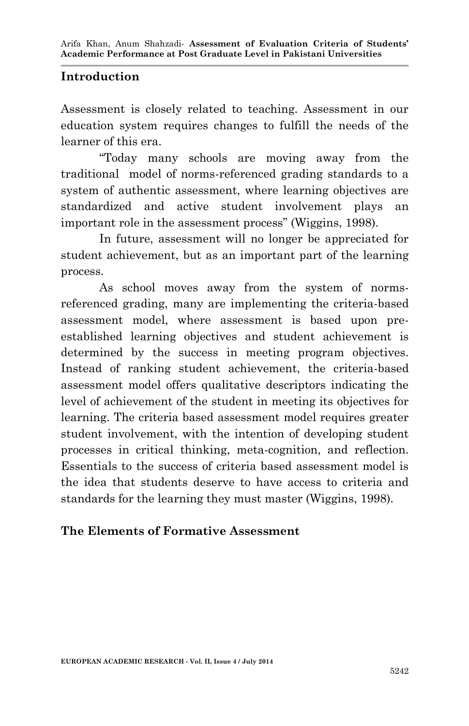### **Introduction**

Assessment is closely related to teaching. Assessment in our education system requires changes to fulfill the needs of the learner of this era.

"Today many schools are moving away from the traditional model of norms-referenced grading standards to a system of authentic assessment, where learning objectives are standardized and active student involvement plays an important role in the assessment process" (Wiggins, 1998).

In future, assessment will no longer be appreciated for student achievement, but as an important part of the learning process.

As school moves away from the system of normsreferenced grading, many are implementing the criteria-based assessment model, where assessment is based upon preestablished learning objectives and student achievement is determined by the success in meeting program objectives. Instead of ranking student achievement, the criteria-based assessment model offers qualitative descriptors indicating the level of achievement of the student in meeting its objectives for learning. The criteria based assessment model requires greater student involvement, with the intention of developing student processes in critical thinking, meta-cognition, and reflection. Essentials to the success of criteria based assessment model is the idea that students deserve to have access to criteria and standards for the learning they must master (Wiggins, 1998).

### **The Elements of Formative Assessment**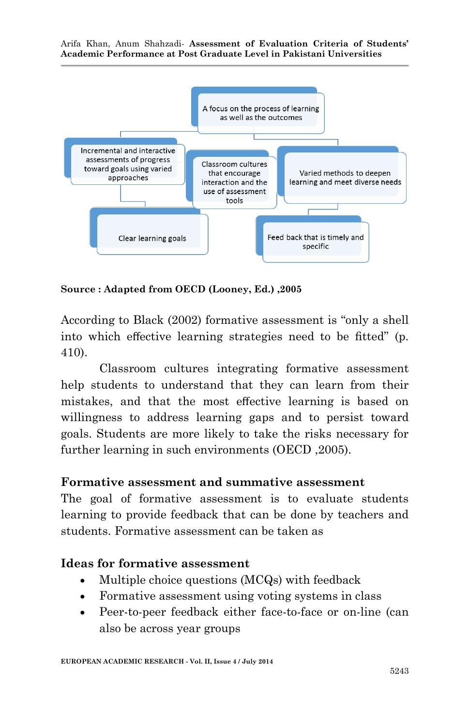

**Source : Adapted from OECD (Looney, Ed.) ,2005**

According to Black (2002) formative assessment is "only a shell into which effective learning strategies need to be fitted" (p. 410).

Classroom cultures integrating formative assessment help students to understand that they can learn from their mistakes, and that the most effective learning is based on willingness to address learning gaps and to persist toward goals. Students are more likely to take the risks necessary for further learning in such environments (OECD ,2005).

#### **Formative assessment and summative assessment**

The goal of formative assessment is to evaluate students learning to provide feedback that can be done by teachers and students. Formative assessment can be taken as

#### **Ideas for formative assessment**

- Multiple choice questions (MCQs) with feedback
- Formative assessment using voting systems in class
- Peer-to-peer feedback either face-to-face or on-line (can also be across year groups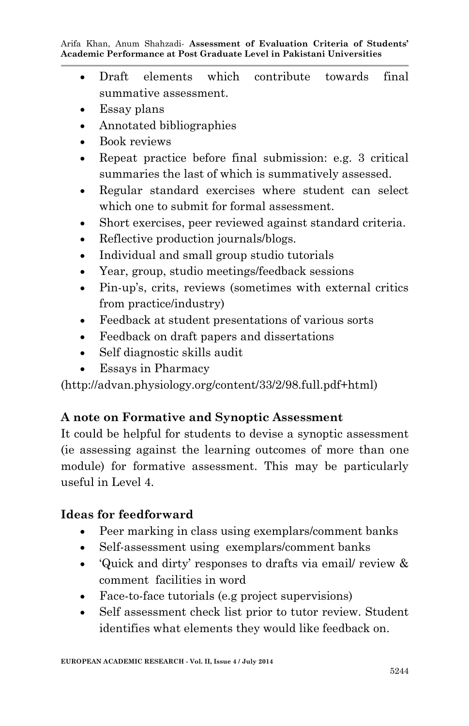- Draft elements which contribute towards final summative assessment.
- Essay plans
- Annotated bibliographies
- Book reviews
- Repeat practice before final submission: e.g. 3 critical summaries the last of which is summatively assessed.
- Regular standard exercises where student can select which one to submit for formal assessment.
- Short exercises, peer reviewed against standard criteria.
- Reflective production journals/blogs.
- Individual and small group studio tutorials
- Year, group, studio meetings/feedback sessions
- Pin-up's, crits, reviews (sometimes with external critics from practice/industry)
- Feedback at student presentations of various sorts
- Feedback on draft papers and dissertations
- Self diagnostic skills audit
- Essays in Pharmacy

(http://advan.physiology.org/content/33/2/98.full.pdf+html)

# **A note on Formative and Synoptic Assessment**

It could be helpful for students to devise a synoptic assessment (ie assessing against the learning outcomes of more than one module) for formative assessment. This may be particularly useful in Level  $\Lambda$ .

# **Ideas for feedforward**

- Peer marking in class using exemplars/comment banks
- Self-assessment using exemplars/comment banks
- 'Quick and dirty' responses to drafts via email/ review & comment facilities in word
- Face-to-face tutorials (e.g project supervisions)
- Self assessment check list prior to tutor review. Student identifies what elements they would like feedback on.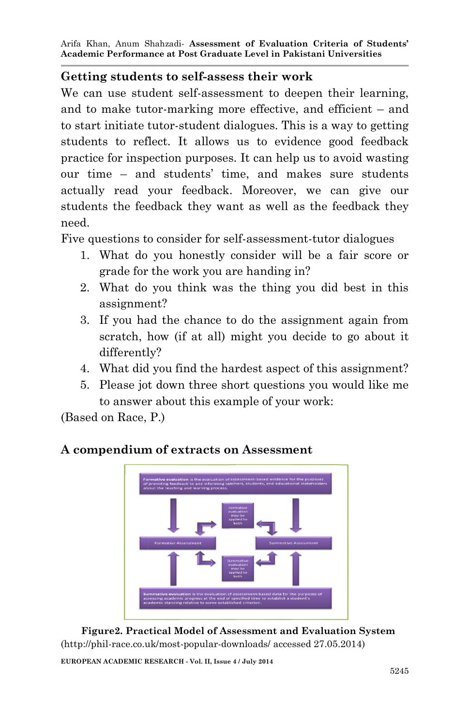#### **Getting students to self-assess their work**

We can use student self-assessment to deepen their learning, and to make tutor-marking more effective, and efficient – and to start initiate tutor-student dialogues. This is a way to getting students to reflect. It allows us to evidence good feedback practice for inspection purposes. It can help us to avoid wasting our time – and students' time, and makes sure students actually read your feedback. Moreover, we can give our students the feedback they want as well as the feedback they need.

Five questions to consider for self-assessment-tutor dialogues

- 1. What do you honestly consider will be a fair score or grade for the work you are handing in?
- 2. What do you think was the thing you did best in this assignment?
- 3. If you had the chance to do the assignment again from scratch, how (if at all) might you decide to go about it differently?
- 4. What did you find the hardest aspect of this assignment?
- 5. Please jot down three short questions you would like me to answer about this example of your work:

(Based on Race, P.)

#### **A compendium of extracts on Assessment**



 **Figure2. Practical Model of Assessment and Evaluation System** (http://phil-race.co.uk/most-popular-downloads/ accessed 27.05.2014)

**EUROPEAN ACADEMIC RESEARCH - Vol. II, Issue 4 / July 2014**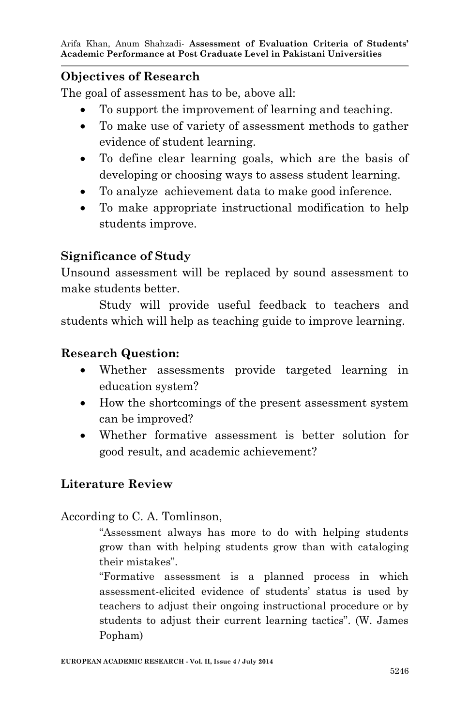### **Objectives of Research**

The goal of assessment has to be, above all:

- To support the improvement of learning and teaching.
- To make use of variety of assessment methods to gather evidence of student learning.
- To define clear learning goals, which are the basis of developing or choosing ways to assess student learning.
- To analyze achievement data to make good inference.
- To make appropriate instructional modification to help students improve.

### **Significance of Study**

Unsound assessment will be replaced by sound assessment to make students better.

Study will provide useful feedback to teachers and students which will help as teaching guide to improve learning.

### **Research Question:**

- Whether assessments provide targeted learning in education system?
- How the shortcomings of the present assessment system can be improved?
- Whether formative assessment is better solution for good result, and academic achievement?

# **Literature Review**

#### According to C. A. Tomlinson,

"Assessment always has more to do with helping students grow than with helping students grow than with cataloging their mistakes".

"Formative assessment is a planned process in which assessment-elicited evidence of students' status is used by teachers to adjust their ongoing instructional procedure or by students to adjust their current learning tactics". (W. James Popham)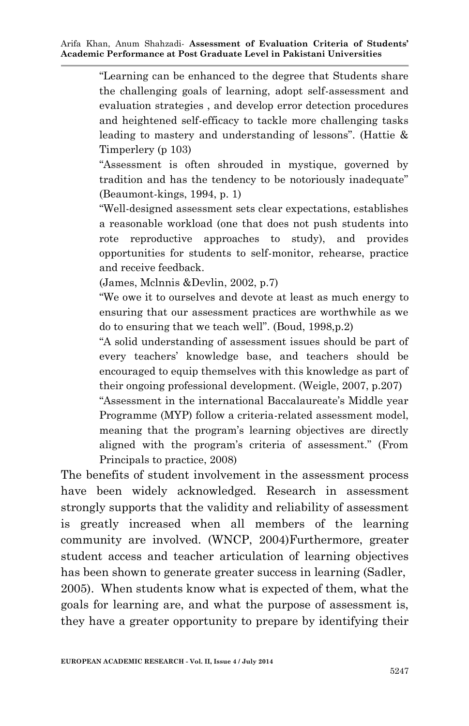"Learning can be enhanced to the degree that Students share the challenging goals of learning, adopt self-assessment and evaluation strategies , and develop error detection procedures and heightened self-efficacy to tackle more challenging tasks leading to mastery and understanding of lessons". (Hattie & Timperlery (p 103)

"Assessment is often shrouded in mystique, governed by tradition and has the tendency to be notoriously inadequate" (Beaumont-kings, 1994, p. 1)

"Well-designed assessment sets clear expectations, establishes a reasonable workload (one that does not push students into rote reproductive approaches to study), and provides opportunities for students to self-monitor, rehearse, practice and receive feedback.

(James, Mclnnis &Devlin, 2002, p.7)

"We owe it to ourselves and devote at least as much energy to ensuring that our assessment practices are worthwhile as we do to ensuring that we teach well". (Boud, 1998,p.2)

"A solid understanding of assessment issues should be part of every teachers' knowledge base, and teachers should be encouraged to equip themselves with this knowledge as part of their ongoing professional development. (Weigle, 2007, p.207)

"Assessment in the international Baccalaureate's Middle year Programme (MYP) follow a criteria-related assessment model, meaning that the program's learning objectives are directly aligned with the program's criteria of assessment." (From Principals to practice, 2008)

The benefits of student involvement in the assessment process have been widely acknowledged. Research in assessment strongly supports that the validity and reliability of assessment is greatly increased when all members of the learning community are involved. (WNCP, 2004)Furthermore, greater student access and teacher articulation of learning objectives has been shown to generate greater success in learning (Sadler, 2005). When students know what is expected of them, what the goals for learning are, and what the purpose of assessment is, they have a greater opportunity to prepare by identifying their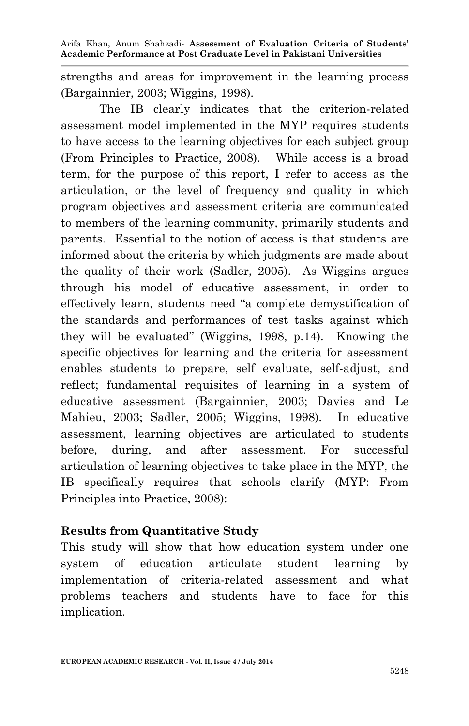strengths and areas for improvement in the learning process (Bargainnier, 2003; Wiggins, 1998).

The IB clearly indicates that the criterion-related assessment model implemented in the MYP requires students to have access to the learning objectives for each subject group (From Principles to Practice, 2008). While access is a broad term, for the purpose of this report, I refer to access as the articulation, or the level of frequency and quality in which program objectives and assessment criteria are communicated to members of the learning community, primarily students and parents. Essential to the notion of access is that students are informed about the criteria by which judgments are made about the quality of their work (Sadler, 2005). As Wiggins argues through his model of educative assessment, in order to effectively learn, students need "a complete demystification of the standards and performances of test tasks against which they will be evaluated" (Wiggins, 1998, p.14). Knowing the specific objectives for learning and the criteria for assessment enables students to prepare, self evaluate, self-adjust, and reflect; fundamental requisites of learning in a system of educative assessment (Bargainnier, 2003; Davies and Le Mahieu, 2003; Sadler, 2005; Wiggins, 1998). In educative assessment, learning objectives are articulated to students before, during, and after assessment. For successful articulation of learning objectives to take place in the MYP, the IB specifically requires that schools clarify (MYP: From Principles into Practice, 2008):

#### **Results from Quantitative Study**

This study will show that how education system under one system of education articulate student learning by implementation of criteria-related assessment and what problems teachers and students have to face for this implication.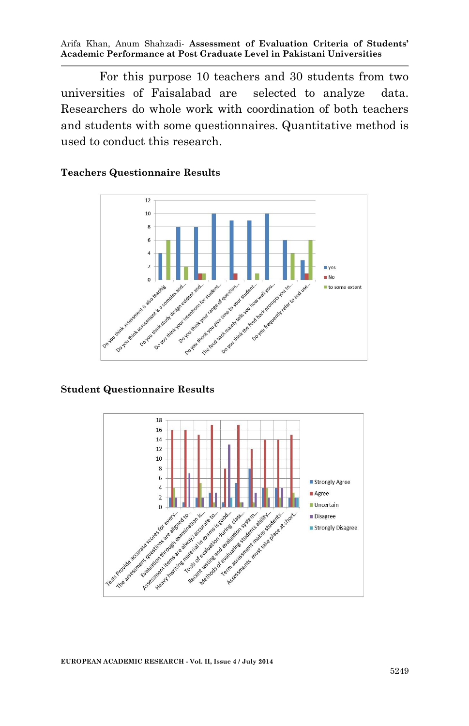For this purpose 10 teachers and 30 students from two universities of Faisalabad are selected to analyze data. Researchers do whole work with coordination of both teachers and students with some questionnaires. Quantitative method is used to conduct this research.

#### **Teachers Questionnaire Results**



#### **Student Questionnaire Results**



**EUROPEAN ACADEMIC RESEARCH - Vol. II, Issue 4 / July 2014**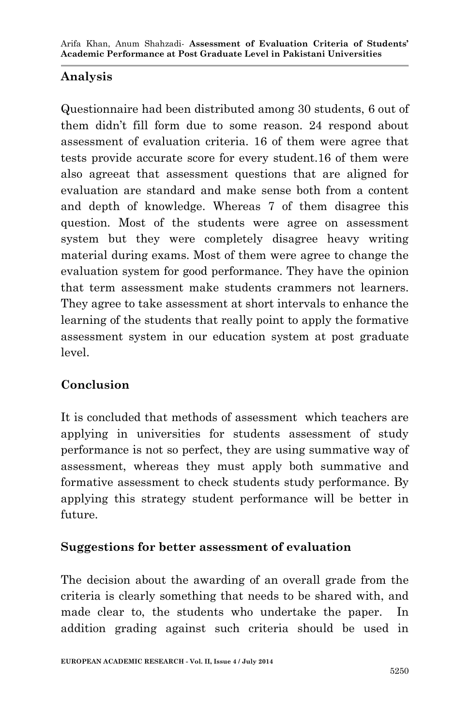# **Analysis**

Questionnaire had been distributed among 30 students, 6 out of them didn't fill form due to some reason. 24 respond about assessment of evaluation criteria. 16 of them were agree that tests provide accurate score for every student.16 of them were also agreeat that assessment questions that are aligned for evaluation are standard and make sense both from a content and depth of knowledge. Whereas 7 of them disagree this question. Most of the students were agree on assessment system but they were completely disagree heavy writing material during exams. Most of them were agree to change the evaluation system for good performance. They have the opinion that term assessment make students crammers not learners. They agree to take assessment at short intervals to enhance the learning of the students that really point to apply the formative assessment system in our education system at post graduate level.

# **Conclusion**

It is concluded that methods of assessment which teachers are applying in universities for students assessment of study performance is not so perfect, they are using summative way of assessment, whereas they must apply both summative and formative assessment to check students study performance. By applying this strategy student performance will be better in future.

# **Suggestions for better assessment of evaluation**

The decision about the awarding of an overall grade from the criteria is clearly something that needs to be shared with, and made clear to, the students who undertake the paper. In addition grading against such criteria should be used in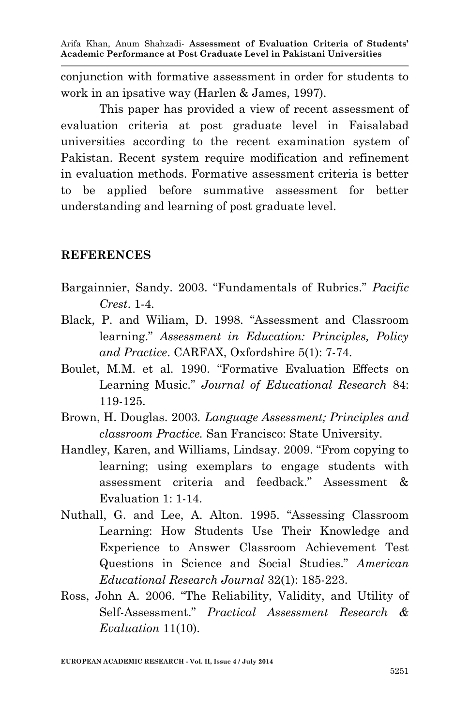conjunction with formative assessment in order for students to work in an ipsative way (Harlen & James, 1997).

This paper has provided a view of recent assessment of evaluation criteria at post graduate level in Faisalabad universities according to the recent examination system of Pakistan. Recent system require modification and refinement in evaluation methods. Formative assessment criteria is better to be applied before summative assessment for better understanding and learning of post graduate level.

#### **REFERENCES**

- Bargainnier, Sandy. 2003. "Fundamentals of Rubrics." *Pacific Crest*. 1-4.
- Black, P. and Wiliam, D. 1998. "Assessment and Classroom learning." *Assessment in Education: Principles, Policy and Practice*. CARFAX, Oxfordshire 5(1): 7-74.
- Boulet, M.M. et al. 1990. "Formative Evaluation Effects on Learning Music." *Journal of Educational Research* 84: 119-125.
- Brown, H. Douglas. 2003*. Language Assessment; Principles and classroom Practice.* San Francisco: State University.
- Handley, Karen, and Williams, Lindsay. 2009. "From copying to learning; using exemplars to engage students with assessment criteria and feedback." Assessment & Evaluation 1: 1-14.
- Nuthall, G. and Lee, A. Alton. 1995. "Assessing Classroom Learning: How Students Use Their Knowledge and Experience to Answer Classroom Achievement Test Questions in Science and Social Studies." *American Educational Research Journal* 32(1): 185-223.
- Ross, John A. 2006. "The Reliability, Validity, and Utility of Self-Assessment." *Practical Assessment Research & Evaluation* 11(10).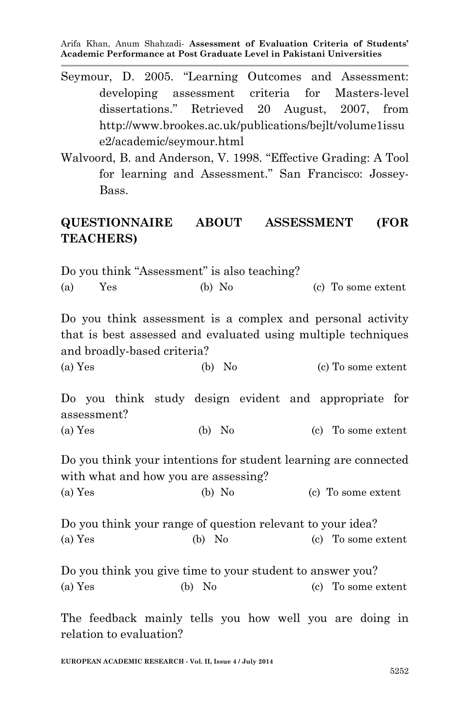- Seymour, D. 2005. "Learning Outcomes and Assessment: developing assessment criteria for Masters-level dissertations." Retrieved 20 August, 2007, from http://www.brookes.ac.uk/publications/bejlt/volume1issu e2/academic/seymour.html
- Walvoord, B. and Anderson, V. 1998. "Effective Grading: A Tool for learning and Assessment." San Francisco: Jossey-Bass.

# **QUESTIONNAIRE ABOUT ASSESSMENT (FOR TEACHERS)**

Do you think "Assessment" is also teaching? (a) Yes (b) No (c) To some extent Do you think assessment is a complex and personal activity that is best assessed and evaluated using multiple techniques and broadly-based criteria? (a) Yes (b) No (c) To some extent Do you think study design evident and appropriate for assessment? (a) Yes (b) No (c) To some extent Do you think your intentions for student learning are connected with what and how you are assessing? (a) Yes (b) No (c) To some extent Do you think your range of question relevant to your idea? (a) Yes (b) No (c) To some extent Do you think you give time to your student to answer you? (a) Yes (b) No (c) To some extent The feedback mainly tells you how well you are doing in relation to evaluation?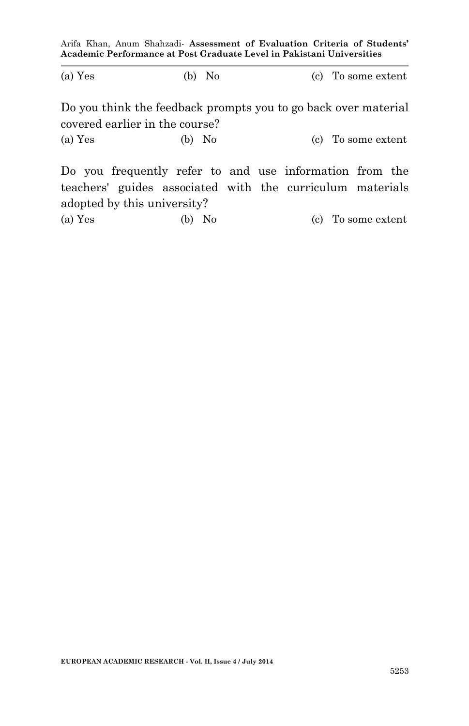| (a) Yes                                                                                                              | $(b)$ No |  | (c) To some extent |  |  |  |  |  |  |
|----------------------------------------------------------------------------------------------------------------------|----------|--|--------------------|--|--|--|--|--|--|
| Do you think the feedback prompts you to go back over material<br>covered earlier in the course?                     |          |  |                    |  |  |  |  |  |  |
| (a) Yes                                                                                                              | $(b)$ No |  | (c) To some extent |  |  |  |  |  |  |
| Do you frequently refer to and use information from the<br>teachers' guides associated with the curriculum materials |          |  |                    |  |  |  |  |  |  |

(a) Yes (b) No (c) To some extent

adopted by this university?